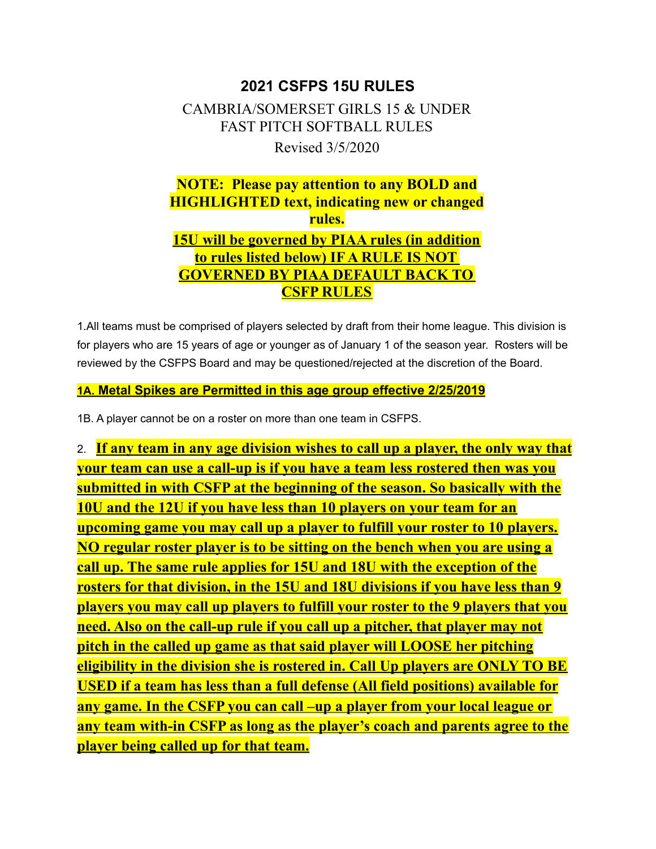### **2021 CSFPS 15U RULES**

# CAMBRIA/SOMERSET GIRLS 15 & UNDER FAST PITCH SOFTBALL RULES Revised 3/5/2020

## **NOTE: Please pay attention to any BOLD and HIGHLIGHTED text, indicating new or changed rules. 15U will be governed by PIAA rules (in addition to rules listed below) IF A RULE IS NOT GOVERNED BY PIAA DEFAULT BACK TO CSFP RULES**

1.All teams must be comprised of players selected by draft from their home league. This division is for players who are 15 years of age or younger as of January 1 of the season year. Rosters will be reviewed by the CSFPS Board and may be questioned/rejected at the discretion of the Board.

#### **1A. Metal Spikes are Permitted in this age group effective 2/25/2019**

1B. A player cannot be on a roster on more than one team in CSFPS.

2. **If any team in any age division wishes to call up a player, the only way that your team can use a call-up is if you have a team less rostered then was you submitted in with CSFP at the beginning of the season. So basically with the 10U and the 12U if you have less than 10 players on your team for an upcoming game you may call up a player to fulfill your roster to 10 players. NO regular roster player is to be sitting on the bench when you are using a call up. The same rule applies for 15U and 18U with the exception of the rosters for that division, in the 15U and 18U divisions if you have less than 9 players you may call up players to fulfill your roster to the 9 players that you need. Also on the call-up rule if you call up a pitcher, that player may not pitch in the called up game as that said player will LOOSE her pitching eligibility in the division she is rostered in. Call Up players are ONLY TO BE USED if a team has less than a full defense (All field positions) available for any game. In the CSFP you can call –up a player from your local league or any team with-in CSFP as long as the player's coach and parents agree to the player being called up for that team.**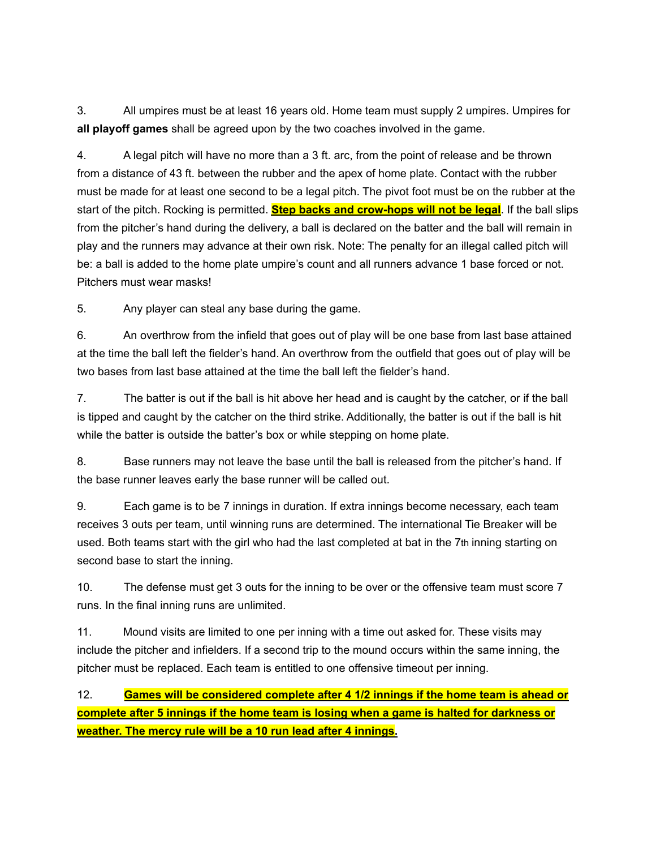3. All umpires must be at least 16 years old. Home team must supply 2 umpires. Umpires for **all playoff games** shall be agreed upon by the two coaches involved in the game.

4. A legal pitch will have no more than a 3 ft. arc, from the point of release and be thrown from a distance of 43 ft. between the rubber and the apex of home plate. Contact with the rubber must be made for at least one second to be a legal pitch. The pivot foot must be on the rubber at the start of the pitch. Rocking is permitted. **Step backs and crow-hops will not be legal**. If the ball slips from the pitcher's hand during the delivery, a ball is declared on the batter and the ball will remain in play and the runners may advance at their own risk. Note: The penalty for an illegal called pitch will be: a ball is added to the home plate umpire's count and all runners advance 1 base forced or not. Pitchers must wear masks!

5. Any player can steal any base during the game.

6. An overthrow from the infield that goes out of play will be one base from last base attained at the time the ball left the fielder's hand. An overthrow from the outfield that goes out of play will be two bases from last base attained at the time the ball left the fielder's hand.

7. The batter is out if the ball is hit above her head and is caught by the catcher, or if the ball is tipped and caught by the catcher on the third strike. Additionally, the batter is out if the ball is hit while the batter is outside the batter's box or while stepping on home plate.

8. Base runners may not leave the base until the ball is released from the pitcher's hand. If the base runner leaves early the base runner will be called out.

9. Each game is to be 7 innings in duration. If extra innings become necessary, each team receives 3 outs per team, until winning runs are determined. The international Tie Breaker will be used. Both teams start with the girl who had the last completed at bat in the 7th inning starting on second base to start the inning.

10. The defense must get 3 outs for the inning to be over or the offensive team must score 7 runs. In the final inning runs are unlimited.

11. Mound visits are limited to one per inning with a time out asked for. These visits may include the pitcher and infielders. If a second trip to the mound occurs within the same inning, the pitcher must be replaced. Each team is entitled to one offensive timeout per inning.

12. **Games will be considered complete after 4 1/2 innings if the home team is ahead or complete after 5 innings if the home team is losing when a game is halted for darkness or weather. The mercy rule will be a 10 run lead after 4 innings.**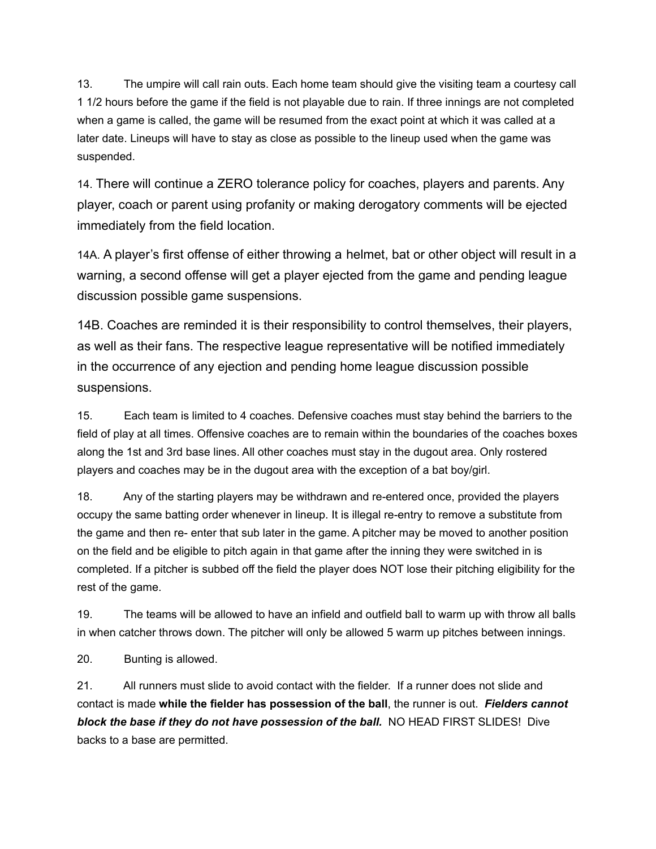13. The umpire will call rain outs. Each home team should give the visiting team a courtesy call 1 1/2 hours before the game if the field is not playable due to rain. If three innings are not completed when a game is called, the game will be resumed from the exact point at which it was called at a later date. Lineups will have to stay as close as possible to the lineup used when the game was suspended.

14. There will continue a ZERO tolerance policy for coaches, players and parents. Any player, coach or parent using profanity or making derogatory comments will be ejected immediately from the field location.

14A. A player's first offense of either throwing a helmet, bat or other object will result in a warning, a second offense will get a player ejected from the game and pending league discussion possible game suspensions.

14B. Coaches are reminded it is their responsibility to control themselves, their players, as well as their fans. The respective league representative will be notified immediately in the occurrence of any ejection and pending home league discussion possible suspensions.

15. Each team is limited to 4 coaches. Defensive coaches must stay behind the barriers to the field of play at all times. Offensive coaches are to remain within the boundaries of the coaches boxes along the 1st and 3rd base lines. All other coaches must stay in the dugout area. Only rostered players and coaches may be in the dugout area with the exception of a bat boy/girl.

18. Any of the starting players may be withdrawn and re-entered once, provided the players occupy the same batting order whenever in lineup. It is illegal re-entry to remove a substitute from the game and then re- enter that sub later in the game. A pitcher may be moved to another position on the field and be eligible to pitch again in that game after the inning they were switched in is completed. If a pitcher is subbed off the field the player does NOT lose their pitching eligibility for the rest of the game.

19. The teams will be allowed to have an infield and outfield ball to warm up with throw all balls in when catcher throws down. The pitcher will only be allowed 5 warm up pitches between innings.

20. Bunting is allowed.

21. All runners must slide to avoid contact with the fielder. If a runner does not slide and contact is made **while the fielder has possession of the ball**, the runner is out. *Fielders cannot block the base if they do not have possession of the ball.* NO HEAD FIRST SLIDES! Dive backs to a base are permitted.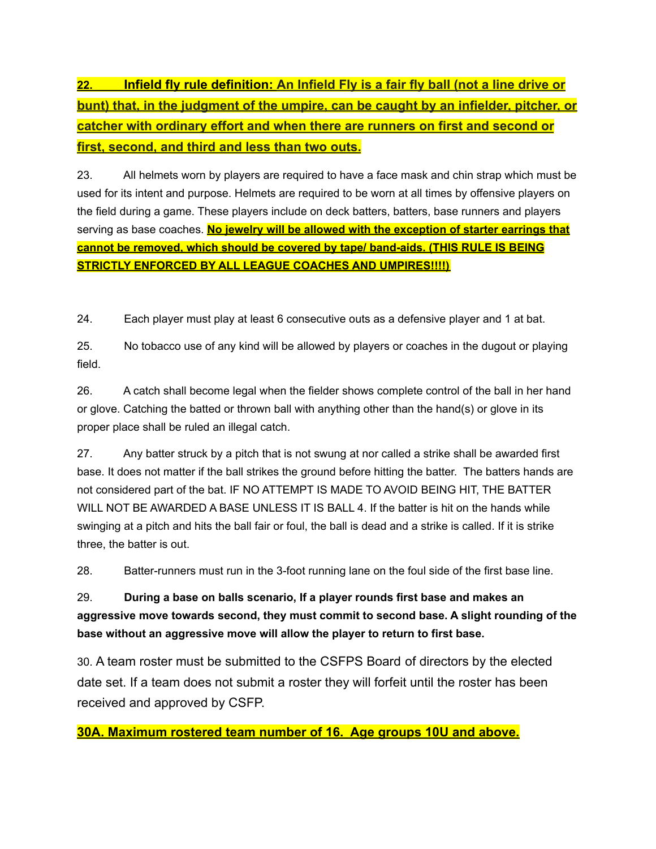**22. Infield fly rule definition: An Infield Fly is a fair fly ball (not a line drive or bunt) that, in the judgment of the umpire, can be caught by an infielder, pitcher, or catcher with ordinary effort and when there are runners on first and second or first, second, and third and less than two outs.**

23. All helmets worn by players are required to have a face mask and chin strap which must be used for its intent and purpose. Helmets are required to be worn at all times by offensive players on the field during a game. These players include on deck batters, batters, base runners and players serving as base coaches. **No jewelry will be allowed with the exception of starter earrings that cannot be removed, which should be covered by tape/ band-aids. (THIS RULE IS BEING STRICTLY ENFORCED BY ALL LEAGUE COACHES AND UMPIRES!!!!)**

24. Each player must play at least 6 consecutive outs as a defensive player and 1 at bat.

25. No tobacco use of any kind will be allowed by players or coaches in the dugout or playing field.

26. A catch shall become legal when the fielder shows complete control of the ball in her hand or glove. Catching the batted or thrown ball with anything other than the hand(s) or glove in its proper place shall be ruled an illegal catch.

27. Any batter struck by a pitch that is not swung at nor called a strike shall be awarded first base. It does not matter if the ball strikes the ground before hitting the batter. The batters hands are not considered part of the bat. IF NO ATTEMPT IS MADE TO AVOID BEING HIT, THE BATTER WILL NOT BE AWARDED A BASE UNLESS IT IS BALL 4. If the batter is hit on the hands while swinging at a pitch and hits the ball fair or foul, the ball is dead and a strike is called. If it is strike three, the batter is out.

28. Batter-runners must run in the 3-foot running lane on the foul side of the first base line.

29. **During a base on balls scenario, If a player rounds first base and makes an aggressive move towards second, they must commit to second base. A slight rounding of the base without an aggressive move will allow the player to return to first base.**

30. A team roster must be submitted to the CSFPS Board of directors by the elected date set. If a team does not submit a roster they will forfeit until the roster has been received and approved by CSFP.

**30A. Maximum rostered team number of 16. Age groups 10U and above.**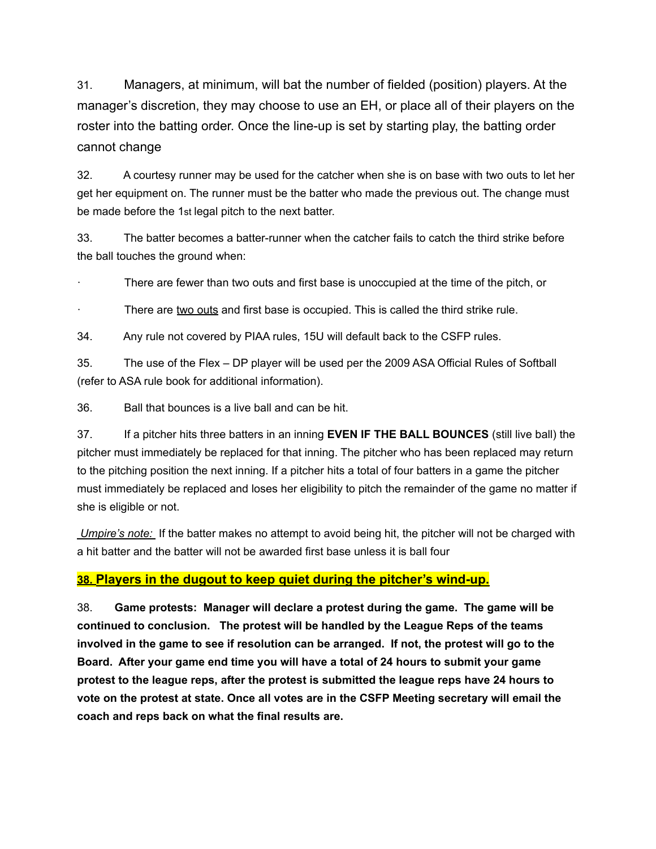31. Managers, at minimum, will bat the number of fielded (position) players. At the manager's discretion, they may choose to use an EH, or place all of their players on the roster into the batting order. Once the line-up is set by starting play, the batting order cannot change

32. A courtesy runner may be used for the catcher when she is on base with two outs to let her get her equipment on. The runner must be the batter who made the previous out. The change must be made before the 1st legal pitch to the next batter.

33. The batter becomes a batter-runner when the catcher fails to catch the third strike before the ball touches the ground when:

There are fewer than two outs and first base is unoccupied at the time of the pitch, or

There are two outs and first base is occupied. This is called the third strike rule.

34. Any rule not covered by PIAA rules, 15U will default back to the CSFP rules.

35. The use of the Flex – DP player will be used per the 2009 ASA Official Rules of Softball (refer to ASA rule book for additional information).

36. Ball that bounces is a live ball and can be hit.

37. If a pitcher hits three batters in an inning **EVEN IF THE BALL BOUNCES** (still live ball) the pitcher must immediately be replaced for that inning. The pitcher who has been replaced may return to the pitching position the next inning. If a pitcher hits a total of four batters in a game the pitcher must immediately be replaced and loses her eligibility to pitch the remainder of the game no matter if she is eligible or not.

*Umpire's note:* If the batter makes no attempt to avoid being hit, the pitcher will not be charged with a hit batter and the batter will not be awarded first base unless it is ball four

#### **38. Players in the dugout to keep quiet during the pitcher's wind-up.**

38. **Game protests: Manager will declare a protest during the game. The game will be continued to conclusion. The protest will be handled by the League Reps of the teams involved in the game to see if resolution can be arranged. If not, the protest will go to the Board. After your game end time you will have a total of 24 hours to submit your game protest to the league reps, after the protest is submitted the league reps have 24 hours to vote on the protest at state. Once all votes are in the CSFP Meeting secretary will email the coach and reps back on what the final results are.**